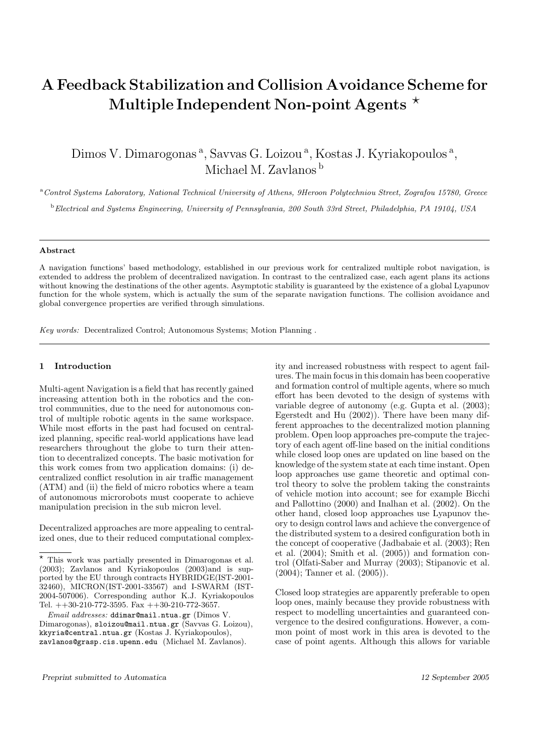# A Feedback Stabilization and Collision Avoidance Scheme for Multiple Independent Non-point Agents  $\star$

Dimos V. Dimarogonas<sup>a</sup>, Savvas G. Loizou<sup>a</sup>, Kostas J. Kyriakopoulos<sup>a</sup>, Michael M. Zavlanos <sup>b</sup>

<sup>a</sup> Control Systems Laboratory, National Technical University of Athens, 9Heroon Polytechniou Street, Zografou 15780, Greece

<sup>b</sup>Electrical and Systems Engineering, University of Pennsylvania, 200 South 33rd Street, Philadelphia, PA 19104, USA

# Abstract

A navigation functions' based methodology, established in our previous work for centralized multiple robot navigation, is extended to address the problem of decentralized navigation. In contrast to the centralized case, each agent plans its actions without knowing the destinations of the other agents. Asymptotic stability is guaranteed by the existence of a global Lyapunov function for the whole system, which is actually the sum of the separate navigation functions. The collision avoidance and global convergence properties are verified through simulations.

Key words: Decentralized Control; Autonomous Systems; Motion Planning .

# 1 Introduction

Multi-agent Navigation is a field that has recently gained increasing attention both in the robotics and the control communities, due to the need for autonomous control of multiple robotic agents in the same workspace. While most efforts in the past had focused on centralized planning, specific real-world applications have lead researchers throughout the globe to turn their attention to decentralized concepts. The basic motivation for this work comes from two application domains: (i) decentralized conflict resolution in air traffic management (ATM) and (ii) the field of micro robotics where a team of autonomous microrobots must cooperate to achieve manipulation precision in the sub micron level.

Decentralized approaches are more appealing to centralized ones, due to their reduced computational complexity and increased robustness with respect to agent failures. The main focus in this domain has been cooperative and formation control of multiple agents, where so much effort has been devoted to the design of systems with variable degree of autonomy (e.g. Gupta et al. (2003); Egerstedt and Hu (2002)). There have been many different approaches to the decentralized motion planning problem. Open loop approaches pre-compute the trajectory of each agent off-line based on the initial conditions while closed loop ones are updated on line based on the knowledge of the system state at each time instant. Open loop approaches use game theoretic and optimal control theory to solve the problem taking the constraints of vehicle motion into account; see for example Bicchi and Pallottino (2000) and Inalhan et al. (2002). On the other hand, closed loop approaches use Lyapunov theory to design control laws and achieve the convergence of the distributed system to a desired configuration both in the concept of cooperative (Jadbabaie et al. (2003); Ren et al. (2004); Smith et al. (2005)) and formation control (Olfati-Saber and Murray (2003); Stipanovic et al. (2004); Tanner et al. (2005)).

Closed loop strategies are apparently preferable to open loop ones, mainly because they provide robustness with respect to modelling uncertainties and guaranteed convergence to the desired configurations. However, a common point of most work in this area is devoted to the case of point agents. Although this allows for variable

 $\overline{\star}$  This work was partially presented in Dimarogonas et al. (2003); Zavlanos and Kyriakopoulos (2003)and is supported by the EU through contracts HYBRIDGE(IST-2001- 32460), MICRON(IST-2001-33567) and I-SWARM (IST-2004-507006). Corresponding author K.J. Kyriakopoulos Tel.  $++30-210-772-3595$ . Fax  $++30-210-772-3657$ .

Email addresses: ddimar@mail.ntua.gr (Dimos V. Dimarogonas), sloizou@mail.ntua.gr (Savvas G. Loizou), kkyria@central.ntua.gr (Kostas J. Kyriakopoulos), zavlanos@grasp.cis.upenn.edu (Michael M. Zavlanos).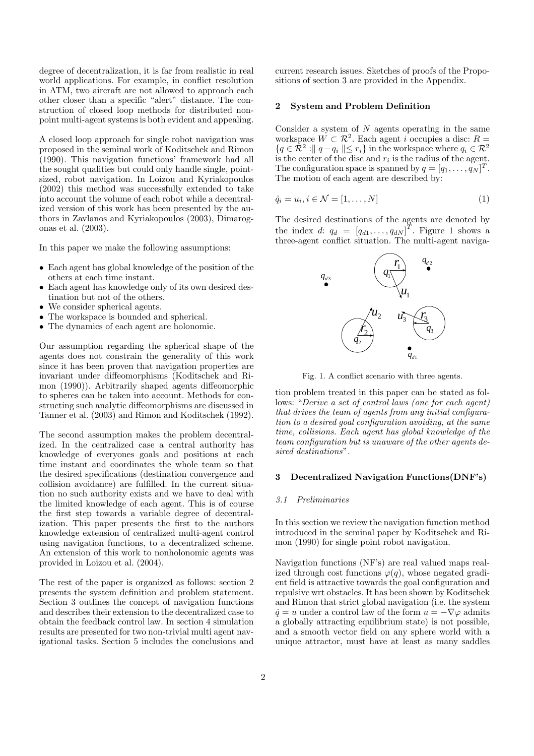degree of decentralization, it is far from realistic in real world applications. For example, in conflict resolution in ATM, two aircraft are not allowed to approach each other closer than a specific "alert" distance. The construction of closed loop methods for distributed nonpoint multi-agent systems is both evident and appealing.

A closed loop approach for single robot navigation was proposed in the seminal work of Koditschek and Rimon (1990). This navigation functions' framework had all the sought qualities but could only handle single, pointsized, robot navigation. In Loizou and Kyriakopoulos (2002) this method was successfully extended to take into account the volume of each robot while a decentralized version of this work has been presented by the authors in Zavlanos and Kyriakopoulos (2003), Dimarogonas et al. (2003).

In this paper we make the following assumptions:

- Each agent has global knowledge of the position of the others at each time instant.
- Each agent has knowledge only of its own desired destination but not of the others.
- We consider spherical agents.
- The workspace is bounded and spherical.
- The dynamics of each agent are holonomic.

Our assumption regarding the spherical shape of the agents does not constrain the generality of this work since it has been proven that navigation properties are invariant under diffeomorphisms (Koditschek and Rimon (1990)). Arbitrarily shaped agents diffeomorphic to spheres can be taken into account. Methods for constructing such analytic diffeomorphisms are discussed in Tanner et al. (2003) and Rimon and Koditschek (1992).

The second assumption makes the problem decentralized. In the centralized case a central authority has knowledge of everyones goals and positions at each time instant and coordinates the whole team so that the desired specifications (destination convergence and collision avoidance) are fulfilled. In the current situation no such authority exists and we have to deal with the limited knowledge of each agent. This is of course the first step towards a variable degree of decentralization. This paper presents the first to the authors knowledge extension of centralized multi-agent control using navigation functions, to a decentralized scheme. An extension of this work to nonholonomic agents was provided in Loizou et al. (2004).

The rest of the paper is organized as follows: section 2 presents the system definition and problem statement. Section 3 outlines the concept of navigation functions and describes their extension to the decentralized case to obtain the feedback control law. In section 4 simulation results are presented for two non-trivial multi agent navigational tasks. Section 5 includes the conclusions and current research issues. Sketches of proofs of the Propositions of section 3 are provided in the Appendix.

## 2 System and Problem Definition

Consider a system of  $N$  agents operating in the same workspace  $\tilde{W} \subset \mathcal{R}^2$ . Each agent *i* occupies a disc:  $R =$  ${q \in \mathcal{R}^2 : \| q - q_i \| \leq r_i }$  in the workspace where  $q_i \in \mathcal{R}^2$ is the center of the disc and  $r_i$  is the radius of the agent. The configuration space is spanned by  $q = [q_1, \ldots, q_N]^T$ . The motion of each agent are described by:

$$
\dot{q}_i = u_i, i \in \mathcal{N} = [1, \dots, N] \tag{1}
$$

The desired destinations of the agents are denoted by the index d:  $q_d = [q_{d1}, \ldots, q_{dN}]^T$ . Figure 1 shows a three-agent conflict situation. The multi-agent naviga-



Fig. 1. A conflict scenario with three agents.

tion problem treated in this paper can be stated as follows: "Derive a set of control laws (one for each agent) that drives the team of agents from any initial configuration to a desired goal configuration avoiding, at the same time, collisions. Each agent has global knowledge of the team configuration but is unaware of the other agents desired destinations".

#### 3 Decentralized Navigation Functions(DNF's)

#### 3.1 Preliminaries

In this section we review the navigation function method introduced in the seminal paper by Koditschek and Rimon (1990) for single point robot navigation.

Navigation functions (NF's) are real valued maps realized through cost functions  $\varphi(q)$ , whose negated gradient field is attractive towards the goal configuration and repulsive wrt obstacles. It has been shown by Koditschek and Rimon that strict global navigation (i.e. the system  $\dot{q} = u$  under a control law of the form  $u = -\nabla \varphi$  admits a globally attracting equilibrium state) is not possible, and a smooth vector field on any sphere world with a unique attractor, must have at least as many saddles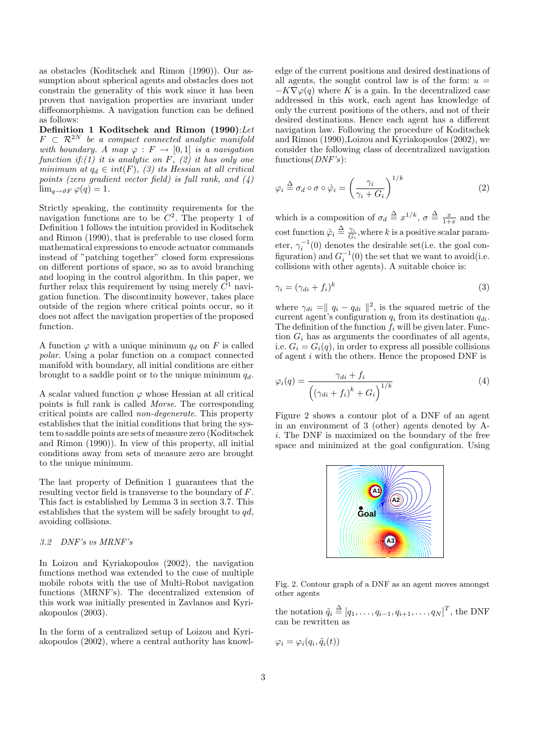as obstacles (Koditschek and Rimon (1990)). Our assumption about spherical agents and obstacles does not constrain the generality of this work since it has been proven that navigation properties are invariant under diffeomorphisms. A navigation function can be defined as follows:

Definition 1 Koditschek and Rimon (1990):Let  $F \subset \mathcal{R}^{2N}$  be a compact connected analytic manifold with boundary. A map  $\varphi : F \to [0,1]$  is a navigation function if:(1) it is analytic on F,  $(2)$  it has only one minimum at  $q_d \in int(F)$ , (3) its Hessian at all critical points (zero gradient vector field) is full rank, and (4)  $\lim_{q\to\vartheta F}\varphi(q)=1.$ 

Strictly speaking, the continuity requirements for the navigation functions are to be  $C^2$ . The property 1 of Definition 1 follows the intuition provided in Koditschek and Rimon (1990), that is preferable to use closed form mathematical expressions to encode actuator commands instead of "patching together" closed form expressions on different portions of space, so as to avoid branching and looping in the control algorithm. In this paper, we further relax this requirement by using merely  $C^1$  navigation function. The discontinuity however, takes place outside of the region where critical points occur, so it does not affect the navigation properties of the proposed function.

A function  $\varphi$  with a unique minimum  $q_d$  on F is called polar. Using a polar function on a compact connected manifold with boundary, all initial conditions are either brought to a saddle point or to the unique minimum  $q_d$ .

A scalar valued function  $\varphi$  whose Hessian at all critical points is full rank is called Morse. The corresponding critical points are called non-degenerate. This property establishes that the initial conditions that bring the system to saddle points are sets of measure zero (Koditschek and Rimon (1990)). In view of this property, all initial conditions away from sets of measure zero are brought to the unique minimum.

The last property of Definition 1 guarantees that the resulting vector field is transverse to the boundary of F. This fact is established by Lemma 3 in section 3.7. This establishes that the system will be safely brought to  $qd$ , avoiding collisions.

#### 3.2 DNF's vs MRNF's

In Loizou and Kyriakopoulos (2002), the navigation functions method was extended to the case of multiple mobile robots with the use of Multi-Robot navigation functions (MRNF's). The decentralized extension of this work was initially presented in Zavlanos and Kyriakopoulos (2003).

In the form of a centralized setup of Loizou and Kyriakopoulos (2002), where a central authority has knowledge of the current positions and desired destinations of all agents, the sought control law is of the form:  $u =$  $-K\nabla\varphi(q)$  where K is a gain. In the decentralized case addressed in this work, each agent has knowledge of only the current positions of the others, and not of their desired destinations. Hence each agent has a different navigation law. Following the procedure of Koditschek and Rimon (1990),Loizou and Kyriakopoulos (2002), we consider the following class of decentralized navigation  $functions(DNF's)$ :

$$
\varphi_i \stackrel{\Delta}{=} \sigma_d \circ \sigma \circ \hat{\varphi}_i = \left(\frac{\gamma_i}{\gamma_i + G_i}\right)^{1/k} \tag{2}
$$

which is a composition of  $\sigma_d \triangleq x^{1/k}$ ,  $\sigma \triangleq \frac{x}{1+x}$  and the cost function  $\hat{\varphi}_i \stackrel{\Delta}{=} \frac{\gamma_i}{G_i}$ , where k is a positive scalar parameter,  $\gamma_i^{-1}(0)$  denotes the desirable set(i.e. the goal configuration) and  $G_i^{-1}(0)$  the set that we want to avoid(i.e. collisions with other agents). A suitable choice is:

$$
\gamma_i = (\gamma_{di} + f_i)^k \tag{3}
$$

where  $\gamma_{di} = ||q_i - q_{di}||^2$ , is the squared metric of the current agent's configuration  $q_i$  from its destination  $q_{di}$ . The definition of the function  $f_i$  will be given later. Function  $G_i$  has as arguments the coordinates of all agents, i.e.  $G_i = G_i(q)$ , in order to express all possible collisions of agent  $i$  with the others. Hence the proposed DNF is

$$
\varphi_i(q) = \frac{\gamma_{di} + f_i}{\left(\left(\gamma_{di} + f_i\right)^k + G_i\right)^{1/k}}\tag{4}
$$

Figure 2 shows a contour plot of a DNF of an agent in an environment of 3 (other) agents denoted by Ai. The DNF is maximized on the boundary of the free space and minimized at the goal configuration. Using



Fig. 2. Contour graph of a DNF as an agent moves amongst other agents

the notation  $\tilde{q}_i \stackrel{\Delta}{=} [q_1, \ldots, q_{i-1}, q_{i+1}, \ldots, q_N]^T$ , the DNF can be rewritten as

 $\varphi_i = \varphi_i(q_i, \tilde{q}_i(t))$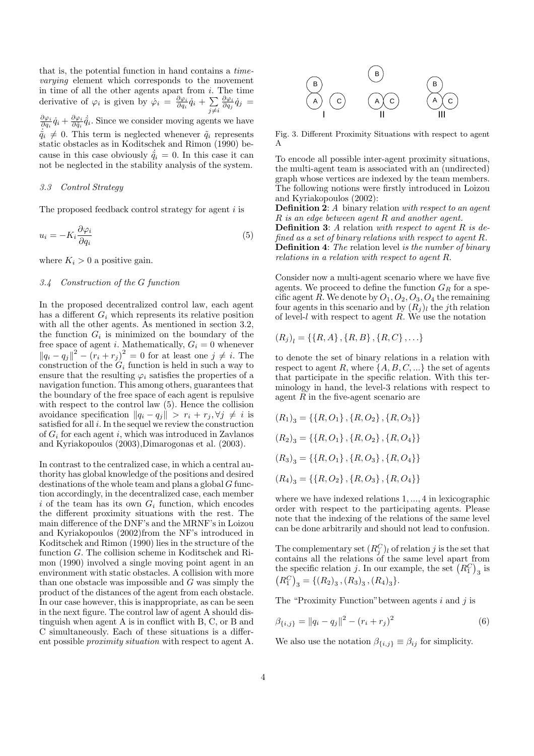that is, the potential function in hand contains a timevarying element which corresponds to the movement in time of all the other agents apart from  $i$ . The time In time of an the other agents apart from *i*.<br>derivative of  $\varphi_i$  is given by  $\dot{\varphi}_i = \frac{\partial \varphi_i}{\partial q_i} \dot{q}_i + \sum_i$  $j\neq i$  $\frac{\partial \varphi_i}{\partial q_j}\dot q_j\,=\,$  $\frac{\partial \varphi_i}{\partial q_i} \dot{q}_i + \frac{\partial \varphi_i}{\partial \tilde{q}_i} \dot{\tilde{q}}_i$ . Since we consider moving agents we have  $\dot{\tilde{q}}_i \neq 0$ . This term is neglected whenever  $\tilde{q}_i$  represents static obstacles as in Koditschek and Rimon (1990) because in this case obviously  $\dot{\tilde{q}}_i = 0$ . In this case it can not be neglected in the stability analysis of the system.

#### 3.3 Control Strategy

The proposed feedback control strategy for agent  $i$  is

$$
u_i = -K_i \frac{\partial \varphi_i}{\partial q_i} \tag{5}
$$

where  $K_i > 0$  a positive gain.

# 3.4 Construction of the G function

In the proposed decentralized control law, each agent has a different  $G_i$  which represents its relative position with all the other agents. As mentioned in section 3.2, the function  $G_i$  is minimized on the boundary of the free space of agent *i*. Mathematically,  $G_i = 0$  whenever  $||q_i - q_j||^2 - (r_i + r_j)^2 = 0$  for at least one  $j \neq i$ . The construction of the  $G_i$  function is held in such a way to ensure that the resulting  $\varphi_i$  satisfies the properties of a navigation function. This among others, guarantees that the boundary of the free space of each agent is repulsive with respect to the control law  $(5)$ . Hence the collision avoidance specification  $||q_i - q_j|| > r_i + r_j, \forall j \neq i$  is satisfied for all  $i$ . In the sequel we review the construction of  $G_i$  for each agent i, which was introduced in Zavlanos and Kyriakopoulos (2003),Dimarogonas et al. (2003).

In contrast to the centralized case, in which a central authority has global knowledge of the positions and desired destinations of the whole team and plans a global G function accordingly, in the decentralized case, each member i of the team has its own  $G_i$  function, which encodes the different proximity situations with the rest. The main difference of the DNF's and the MRNF's in Loizou and Kyriakopoulos (2002)from the NF's introduced in Koditschek and Rimon (1990) lies in the structure of the function G. The collision scheme in Koditschek and Rimon (1990) involved a single moving point agent in an environment with static obstacles. A collision with more than one obstacle was impossible and G was simply the product of the distances of the agent from each obstacle. In our case however, this is inappropriate, as can be seen in the next figure. The control law of agent A should distinguish when agent A is in conflict with B, C, or B and C simultaneously. Each of these situations is a different possible proximity situation with respect to agent A.



Fig. 3. Different Proximity Situations with respect to agent A

To encode all possible inter-agent proximity situations, the multi-agent team is associated with an (undirected) graph whose vertices are indexed by the team members. The following notions were firstly introduced in Loizou and Kyriakopoulos (2002):

**Definition 2:** A binary relation with respect to an agent R is an edge between agent R and another agent. **Definition 3:** A relation with respect to agent  $R$  is defined as a set of binary relations with respect to agent R. Definition 4: The relation level is the number of binary relations in a relation with respect to agent R.

Consider now a multi-agent scenario where we have five agents. We proceed to define the function  $G_R$  for a specific agent R. We denote by  $O_1$ ,  $O_2$ ,  $O_3$ ,  $O_4$  the remaining four agents in this scenario and by  $(R_j)_l$  the jth relation of level- $l$  with respect to agent  $R$ . We use the notation

$$
(R_j)_l = \{\{R, A\}, \{R, B\}, \{R, C\}, \ldots\}
$$

to denote the set of binary relations in a relation with respect to agent R, where  $\{A, B, C, \ldots\}$  the set of agents that participate in the specific relation. With this terminology in hand, the level-3 relations with respect to agent  $R$  in the five-agent scenario are

$$
(R_1)_3 = \{\{R, O_1\}, \{R, O_2\}, \{R, O_3\}\}\
$$

$$
(R_2)_3 = \{\{R, O_1\}, \{R, O_2\}, \{R, O_4\}\}\
$$

$$
(R_3)_3 = \{\{R, O_1\}, \{R, O_3\}, \{R, O_4\}\}\
$$

$$
(R_4)_3 = \{\{R, O_2\}, \{R, O_3\}, \{R, O_4\}\}\
$$

where we have indexed relations 1, ..., 4 in lexicographic order with respect to the participating agents. Please note that the indexing of the relations of the same level can be done arbitrarily and should not lead to confusion.

The complementary set  $(R_j^C)_l$  of relation j is the set that contains all the relations of the same level apart from<br>the specific relation j. In our example, the set  $(R_1^C)$ <sub>3</sub> is ¢ the specific relation j. In our example, the set  $(R_1^C)_3$  is  $R_1^C$ <sub>2</sub> = { $(R_2)$ <sub>3</sub>,  $(R_3)$ <sub>3</sub>,  $(R_4)$ <sub>3</sub>}.

The "Proximity Function" between agents  $i$  and  $j$  is

$$
\beta_{\{i,j\}} = ||q_i - q_j||^2 - (r_i + r_j)^2 \tag{6}
$$

We also use the notation  $\beta_{\{i,j\}} \equiv \beta_{ij}$  for simplicity.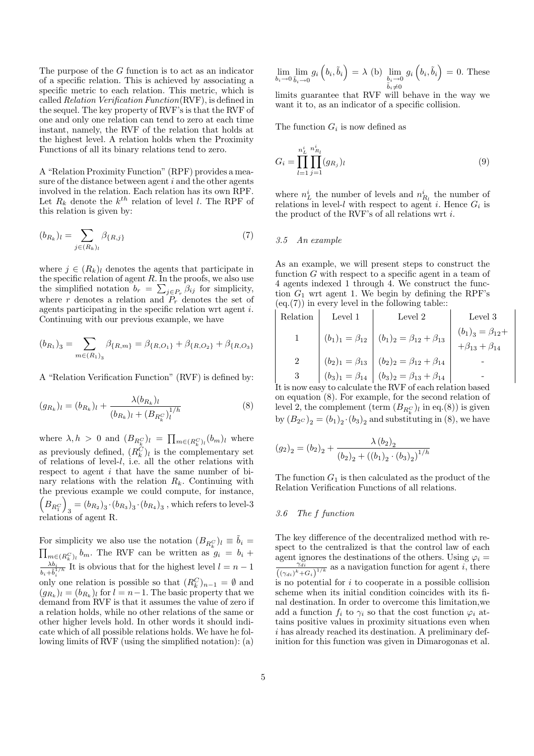The purpose of the G function is to act as an indicator of a specific relation. This is achieved by associating a specific metric to each relation. This metric, which is called Relation Verification Function(RVF), is defined in the sequel. The key property of RVF's is that the RVF of one and only one relation can tend to zero at each time instant, namely, the RVF of the relation that holds at the highest level. A relation holds when the Proximity Functions of all its binary relations tend to zero.

A "Relation Proximity Function" (RPF) provides a measure of the distance between agent  $i$  and the other agents involved in the relation. Each relation has its own RPF. Let  $R_k$  denote the  $k^{th}$  relation of level l. The RPF of this relation is given by:

$$
(b_{R_k})_l = \sum_{j \in (R_k)_l} \beta_{\{R,j\}} \tag{7}
$$

where  $j \in (R_k)_l$  denotes the agents that participate in the specific relation of agent  $R$ . In the proofs, we also use the simplified notation  $b_r = \sum_{j \in P_r} \beta_{ij}$  for simplicity, where r denotes a relation and  $P<sub>r</sub>$  denotes the set of agents participating in the specific relation wrt agent i. Continuing with our previous example, we have

$$
(b_{R_1})_3 = \sum_{m \in (R_1)_3} \beta_{\{R,m\}} = \beta_{\{R,O_1\}} + \beta_{\{R,O_2\}} + \beta_{\{R,O_3\}}
$$

A "Relation Verification Function" (RVF) is defined by:

$$
(g_{R_k})_l = (b_{R_k})_l + \frac{\lambda (b_{R_k})_l}{(b_{R_k})_l + (B_{R_k^C})_l^{1/h}}
$$
(8)

where  $\lambda, h > 0$  and  $(B_{R_k^C})_l = \prod$  $_{m\in (R_k^C)_l}(b_m)_l$  where as previously defined,  $(R_k^C)_l$  is the complementary set of relations of level-l, i.e. all the other relations with respect to agent  $i$  that have the same number of binary relations with the relation  $R_k$ . Continuing with the previous example we could compute, for instance, ³ ´  $B_{R_1^C}\Big)_3 = (b_{R_2})_3\cdot (b_{R_3})_3\cdot (b_{R_4})_3$  , which refers to level-3 relations of agent R.

For simplicity we also use the notation  $(B_{R_k^C})_l \equiv \tilde{b}_i =$  $_{m\in(R_{k}^{C})_{l}}$   $b_{m}$ . The RVF can be written as  $g_{i} = b_{i} +$  $\frac{\lambda b_i}{b_i + \tilde{b}_i^{1/h}}$  It is obvious that for the highest level  $l = n - 1$ only one relation is possible so that  $(R_k^C)_{n-1} = \emptyset$  and  $(g_{R_k})_l = (b_{R_k})_l$  for  $l = n-1$ . The basic property that we demand from RVF is that it assumes the value of zero if a relation holds, while no other relations of the same or other higher levels hold. In other words it should indicate which of all possible relations holds. We have he following limits of RVF (using the simplified notation): (a)

$$
\lim_{b_i \to 0} \lim_{\tilde{b}_i \to 0} g_i \left( b_i, \tilde{b}_i \right) = \lambda \text{ (b)} \lim_{\substack{b_i \to 0 \\ \tilde{b}_i \neq 0}} g_i \left( b_i, \tilde{b}_i \right) = 0. \text{ These}
$$

limits guarantee that RVF will behave in the way we want it to, as an indicator of a specific collision.

The function  $G_i$  is now defined as

$$
G_i = \prod_{l=1}^{n_L^i} \prod_{j=1}^{n_{R_l}^i} (g_{R_j})_l
$$
\n(9)

where  $n<sub>L</sub><sup>i</sup>$  the number of levels and  $n<sub>R<sub>l</sub><sup>i</sup></sub>$  the number of relations in level-l with respect to agent i. Hence  $G_i$  is the product of the RVF's of all relations wrt i.

#### 3.5 An example

As an example, we will present steps to construct the function  $G$  with respect to a specific agent in a team of 4 agents indexed 1 through 4. We construct the function  $G_1$  wrt agent 1. We begin by defining the RPF's  $(\mathrm{eq.}(7))$  in every level in the following table::

Relation Level 1 Level 2 Level 3 1 (b1)<sup>1</sup> = β<sup>12</sup> (b1)<sup>2</sup> = β<sup>12</sup> + β<sup>13</sup> (b1) <sup>3</sup> = β12+ +β<sup>13</sup> + β<sup>14</sup> 2 (b2)<sup>1</sup> = β<sup>13</sup> (b2)<sup>2</sup> = β<sup>12</sup> + β<sup>14</sup> - 3 (b3)<sup>1</sup> = β<sup>14</sup> (b3)<sup>2</sup> = β<sup>13</sup> + β<sup>14</sup> -

It is now easy to calculate the RVF of each relation based on equation (8). For example, for the second relation of level 2, the complement (term  $(B_{R_k^C})_l$  in eq.(8)) is given by  $(B_2c)_2 = (b_1)_2 \cdot (b_3)_2$  and substituting in (8), we have

$$
(g_2)_2 = (b_2)_2 + \frac{\lambda (b_2)_2}{(b_2)_2 + ((b_1)_2 \cdot (b_3)_2)^{1/h}}
$$

The function  $G_1$  is then calculated as the product of the Relation Verification Functions of all relations.

#### 3.6 The f function

The key difference of the decentralized method with respect to the centralized is that the control law of each agent ignores the destinations of the others. Using  $\varphi_i =$  $\gamma_{di}$  $\frac{\gamma_{di}}{((\gamma_{di})^k+G_i)^{1/k}}$  as a navigation function for agent *i*, there is no potential for  $i$  to cooperate in a possible collision scheme when its initial condition coincides with its final destination. In order to overcome this limitation,we add a function  $f_i$  to  $\gamma_i$  so that the cost function  $\varphi_i$  attains positive values in proximity situations even when i has already reached its destination. A preliminary definition for this function was given in Dimarogonas et al.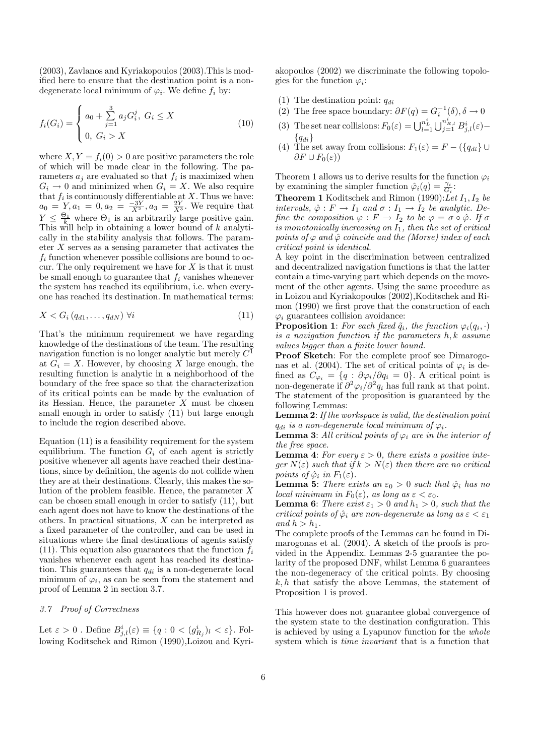(2003), Zavlanos and Kyriakopoulos (2003).This is modified here to ensure that the destination point is a nondegenerate local minimum of  $\varphi_i$ . We define  $f_i$  by:

$$
f_i(G_i) = \begin{cases} a_0 + \sum_{j=1}^3 a_j G_i^j, \ G_i \le X \\ 0, \ G_i > X \end{cases}
$$
 (10)

where  $X, Y = f_i(0) > 0$  are positive parameters the role of which will be made clear in the following. The parameters  $a_j$  are evaluated so that  $f_i$  is maximized when  $G_i \to 0$  and minimized when  $G_i = X$ . We also require that  $f_i$  is continuously differentiable at X. Thus we have:  $a_0 = Y, a_1 = 0, a_2 = \frac{-3Y}{X^2}, a_3 = \frac{2Y}{X^3}$ . We require that  $Y \n\t\leq \frac{\Theta_1}{k}$  where  $\Theta_1$  is an arbitrarily large positive gain. This will help in obtaining a lower bound of  $k$  analytically in the stability analysis that follows. The parameter  $X$  serves as a sensing parameter that activates the  $f_i$  function whenever possible collisions are bound to occur. The only requirement we have for  $X$  is that it must be small enough to guarantee that  $f_i$  vanishes whenever the system has reached its equilibrium, i.e. when everyone has reached its destination. In mathematical terms:

$$
X < G_i \left( q_{d1}, \dots, q_{dN} \right) \, \forall i \tag{11}
$$

That's the minimum requirement we have regarding knowledge of the destinations of the team. The resulting navigation function is no longer analytic but merely  $C^{\bar{1}}$ at  $G_i = X$ . However, by choosing X large enough, the resulting function is analytic in a neighborhood of the boundary of the free space so that the characterization of its critical points can be made by the evaluation of its Hessian. Hence, the parameter  $X$  must be chosen small enough in order to satisfy (11) but large enough to include the region described above.

Equation (11) is a feasibility requirement for the system equilibrium. The function  $G_i$  of each agent is strictly positive whenever all agents have reached their destinations, since by definition, the agents do not collide when they are at their destinations. Clearly, this makes the solution of the problem feasible. Hence, the parameter  $X$ can be chosen small enough in order to satisfy (11), but each agent does not have to know the destinations of the others. In practical situations, X can be interpreted as a fixed parameter of the controller, and can be used in situations where the final destinations of agents satisfy (11). This equation also guarantees that the function  $f_i$ vanishes whenever each agent has reached its destination. This guarantees that  $q_{di}$  is a non-degenerate local minimum of  $\varphi_i$ , as can be seen from the statement and proof of Lemma 2 in section 3.7.

#### 3.7 Proof of Correctness

Let  $\varepsilon > 0$ . Define  $B^i_{j,l}(\varepsilon) \equiv \{q : 0 < (g^i_{R_j})_l < \varepsilon\}$ . Following Koditschek and Rimon (1990),Loizou and Kyriakopoulos (2002) we discriminate the following topologies for the function  $\varphi_i$ :

- (1) The destination point:  $q_{di}$
- (2) The free space boundary:  $\partial F(q) = G_i^{-1}(\delta), \delta \to 0$
- (3) The set near collisions:  $F_0(\varepsilon) = \bigcup_{l=1}^{n_L^i}$  $\bigcup_{j=1}^{n_{R,l}^{i}} B^{i}_{j,l}(\varepsilon) {q_{di}}$
- (4) The set away from collisions:  $F_1(\varepsilon) = F (\lbrace q_{di} \rbrace \cup$  $\partial F \cup F_0(\varepsilon)$

Theorem 1 allows us to derive results for the function  $\varphi_i$ by examining the simpler function  $\hat{\varphi}_i(q) = \frac{\gamma_i}{G_i}$ :

**Theorem 1** Koditschek and Rimon  $(1990):$ *Let*  $I_1$ ,  $I_2$  be intervals,  $\hat{\varphi}: F \to I_1$  and  $\sigma: I_1 \to I_2$  be analytic. Define the composition  $\varphi : F \to I_2$  to be  $\varphi = \sigma \circ \hat{\varphi}$ . If  $\sigma$ is monotonically increasing on  $I_1$ , then the set of critical points of  $\varphi$  and  $\hat{\varphi}$  coincide and the (Morse) index of each critical point is identical.

A key point in the discrimination between centralized and decentralized navigation functions is that the latter contain a time-varying part which depends on the movement of the other agents. Using the same procedure as in Loizou and Kyriakopoulos (2002),Koditschek and Rimon (1990) we first prove that the construction of each  $\varphi_i$  guarantees collision avoidance:

**Proposition 1**: For each fixed  $\tilde{q}_i$ , the function  $\varphi_i(q_i, \cdot)$ is a navigation function if the parameters h, k assume values bigger than a finite lower bound.

Proof Sketch: For the complete proof see Dimarogonas et al. (2004). The set of critical points of  $\varphi_i$  is defined as  $C_{\varphi_i} = \{q : \partial \varphi_i / \partial q_i = 0\}$ . A critical point is non-degenerate if  $\partial^2 \varphi_i / \partial^2 q_i$  has full rank at that point. The statement of the proposition is guaranteed by the following Lemmas:

Lemma 2: If the workspace is valid, the destination point  $q_{di}$  is a non-degenerate local minimum of  $\varphi_i$ .

**Lemma 3:** All critical points of  $\varphi_i$  are in the interior of the free space.

**Lemma 4:** For every  $\varepsilon > 0$ , there exists a positive integer  $N(\varepsilon)$  such that if  $k > N(\varepsilon)$  then there are no critical points of  $\hat{\varphi}_i$  in  $F_1(\varepsilon)$ .

**Lemma 5:** There exists an  $\varepsilon_0 > 0$  such that  $\hat{\varphi}_i$  has no local minimum in  $F_0(\varepsilon)$ , as long as  $\varepsilon < \varepsilon_0$ .

**Lemma 6:** There exist  $\varepsilon_1 > 0$  and  $h_1 > 0$ , such that the critical points of  $\hat{\varphi}_i$  are non-degenerate as long as  $\varepsilon < \varepsilon_1$ and  $h > h_1$ .

The complete proofs of the Lemmas can be found in Dimarogonas et al. (2004). A sketch of the proofs is provided in the Appendix. Lemmas 2-5 guarantee the polarity of the proposed DNF, whilst Lemma 6 guarantees the non-degeneracy of the critical points. By choosing  $k, h$  that satisfy the above Lemmas, the statement of Proposition 1 is proved.

This however does not guarantee global convergence of the system state to the destination configuration. This is achieved by using a Lyapunov function for the whole system which is time invariant that is a function that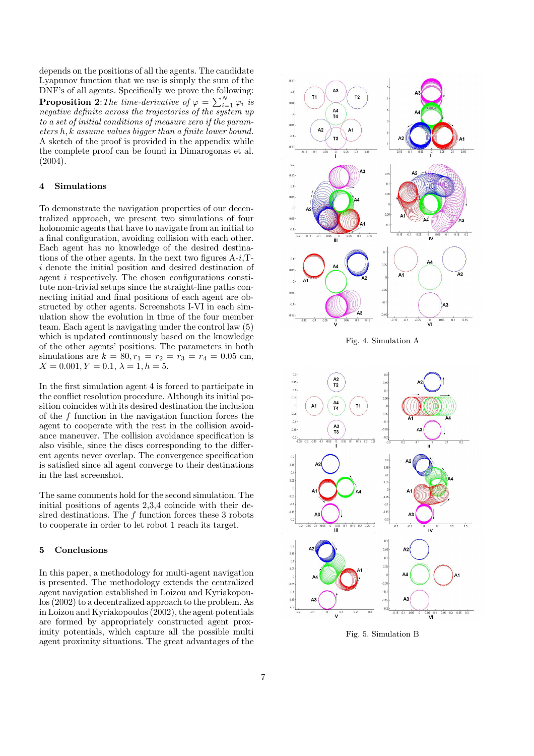depends on the positions of all the agents. The candidate Lyapunov function that we use is simply the sum of the DNF's of all agents. Specifically we prove the following: **Proposition 2**: The time-derivative of  $\varphi = \sum_{i=1}^{N} \varphi_i$  is negative definite across the trajectories of the system up to a set of initial conditions of measure zero if the parameters h, k assume values bigger than a finite lower bound. A sketch of the proof is provided in the appendix while the complete proof can be found in Dimarogonas et al. (2004).

#### 4 Simulations

To demonstrate the navigation properties of our decentralized approach, we present two simulations of four holonomic agents that have to navigate from an initial to a final configuration, avoiding collision with each other. Each agent has no knowledge of the desired destinations of the other agents. In the next two figures  $A-i$ ,  $T$ i denote the initial position and desired destination of agent i respectively. The chosen configurations constitute non-trivial setups since the straight-line paths connecting initial and final positions of each agent are obstructed by other agents. Screenshots I-VI in each simulation show the evolution in time of the four member team. Each agent is navigating under the control law (5) which is updated continuously based on the knowledge of the other agents' positions. The parameters in both simulations are  $k = 80, r_1 = r_2 = r_3 = r_4 = 0.05$  cm,  $X = 0.001, Y = 0.1, \lambda = 1, h = 5.$ 

In the first simulation agent 4 is forced to participate in the conflict resolution procedure. Although its initial position coincides with its desired destination the inclusion of the  $f$  function in the navigation function forces the agent to cooperate with the rest in the collision avoidance maneuver. The collision avoidance specification is also visible, since the discs corresponding to the different agents never overlap. The convergence specification is satisfied since all agent converge to their destinations in the last screenshot.

The same comments hold for the second simulation. The initial positions of agents 2,3,4 coincide with their desired destinations. The  $f$  function forces these 3 robots to cooperate in order to let robot 1 reach its target.

#### 5 Conclusions

In this paper, a methodology for multi-agent navigation is presented. The methodology extends the centralized agent navigation established in Loizou and Kyriakopoulos (2002) to a decentralized approach to the problem. As in Loizou and Kyriakopoulos (2002), the agent potentials are formed by appropriately constructed agent proximity potentials, which capture all the possible multi agent proximity situations. The great advantages of the



Fig. 4. Simulation A



Fig. 5. Simulation B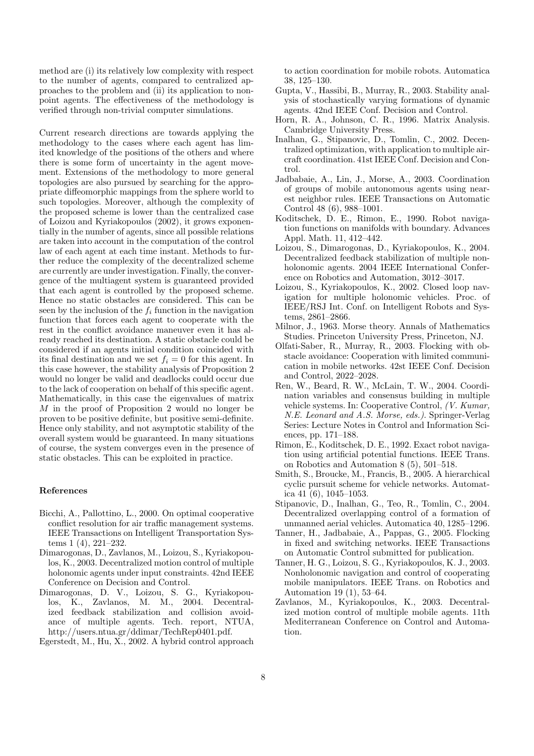method are (i) its relatively low complexity with respect to the number of agents, compared to centralized approaches to the problem and (ii) its application to nonpoint agents. The effectiveness of the methodology is verified through non-trivial computer simulations.

Current research directions are towards applying the methodology to the cases where each agent has limited knowledge of the positions of the others and where there is some form of uncertainty in the agent movement. Extensions of the methodology to more general topologies are also pursued by searching for the appropriate diffeomorphic mappings from the sphere world to such topologies. Moreover, although the complexity of the proposed scheme is lower than the centralized case of Loizou and Kyriakopoulos (2002), it grows exponentially in the number of agents, since all possible relations are taken into account in the computation of the control law of each agent at each time instant. Methods to further reduce the complexity of the decentralized scheme are currently are under investigation. Finally, the convergence of the multiagent system is guaranteed provided that each agent is controlled by the proposed scheme. Hence no static obstacles are considered. This can be seen by the inclusion of the  $f_i$  function in the navigation function that forces each agent to cooperate with the rest in the conflict avoidance maneuver even it has already reached its destination. A static obstacle could be considered if an agents initial condition coincided with its final destination and we set  $f_i = 0$  for this agent. In this case however, the stability analysis of Proposition 2 would no longer be valid and deadlocks could occur due to the lack of cooperation on behalf of this specific agent. Mathematically, in this case the eigenvalues of matrix M in the proof of Proposition 2 would no longer be proven to be positive definite, but positive semi-definite. Hence only stability, and not asymptotic stability of the overall system would be guaranteed. In many situations of course, the system converges even in the presence of static obstacles. This can be exploited in practice.

#### References

- Bicchi, A., Pallottino, L., 2000. On optimal cooperative conflict resolution for air traffic management systems. IEEE Transactions on Intelligent Transportation Systems 1 (4), 221–232.
- Dimarogonas, D., Zavlanos, M., Loizou, S., Kyriakopoulos, K., 2003. Decentralized motion control of multiple holonomic agents under input constraints. 42nd IEEE Conference on Decision and Control.
- Dimarogonas, D. V., Loizou, S. G., Kyriakopoulos, K., Zavlanos, M. M., 2004. Decentralized feedback stabilization and collision avoidance of multiple agents. Tech. report, NTUA, http://users.ntua.gr/ddimar/TechRep0401.pdf.

Egerstedt, M., Hu, X., 2002. A hybrid control approach

to action coordination for mobile robots. Automatica 38, 125–130.

- Gupta, V., Hassibi, B., Murray, R., 2003. Stability analysis of stochastically varying formations of dynamic agents. 42nd IEEE Conf. Decision and Control.
- Horn, R. A., Johnson, C. R., 1996. Matrix Analysis. Cambridge University Press.
- Inalhan, G., Stipanovic, D., Tomlin, C., 2002. Decentralized optimization, with application to multiple aircraft coordination. 41st IEEE Conf. Decision and Control.
- Jadbabaie, A., Lin, J., Morse, A., 2003. Coordination of groups of mobile autonomous agents using nearest neighbor rules. IEEE Transactions on Automatic Control 48 (6), 988–1001.
- Koditschek, D. E., Rimon, E., 1990. Robot navigation functions on manifolds with boundary. Advances Appl. Math. 11, 412–442.
- Loizou, S., Dimarogonas, D., Kyriakopoulos, K., 2004. Decentralized feedback stabilization of multiple nonholonomic agents. 2004 IEEE International Conference on Robotics and Automation, 3012–3017.
- Loizou, S., Kyriakopoulos, K., 2002. Closed loop navigation for multiple holonomic vehicles. Proc. of IEEE/RSJ Int. Conf. on Intelligent Robots and Systems, 2861–2866.
- Milnor, J., 1963. Morse theory. Annals of Mathematics Studies. Princeton University Press, Princeton, NJ.
- Olfati-Saber, R., Murray, R., 2003. Flocking with obstacle avoidance: Cooperation with limited communication in mobile networks. 42st IEEE Conf. Decision and Control, 2022–2028.
- Ren, W., Beard, R. W., McLain, T. W., 2004. Coordination variables and consensus building in multiple vehicle systems. In: Cooperative Control, (V. Kumar, N.E. Leonard and A.S. Morse, eds.). Springer-Verlag Series: Lecture Notes in Control and Information Sciences, pp. 171–188.
- Rimon, E., Koditschek, D. E., 1992. Exact robot navigation using artificial potential functions. IEEE Trans. on Robotics and Automation 8 (5), 501–518.
- Smith, S., Broucke, M., Francis, B., 2005. A hierarchical cyclic pursuit scheme for vehicle networks. Automatica 41 (6), 1045–1053.
- Stipanovic, D., Inalhan, G., Teo, R., Tomlin, C., 2004. Decentralized overlapping control of a formation of unmanned aerial vehicles. Automatica 40, 1285–1296.
- Tanner, H., Jadbabaie, A., Pappas, G., 2005. Flocking in fixed and switching networks. IEEE Transactions on Automatic Control submitted for publication.
- Tanner, H. G., Loizou, S. G., Kyriakopoulos, K. J., 2003. Nonholonomic navigation and control of cooperating mobile manipulators. IEEE Trans. on Robotics and Automation 19 (1), 53–64.
- Zavlanos, M., Kyriakopoulos, K., 2003. Decentralized motion control of multiple mobile agents. 11th Mediterranean Conference on Control and Automation.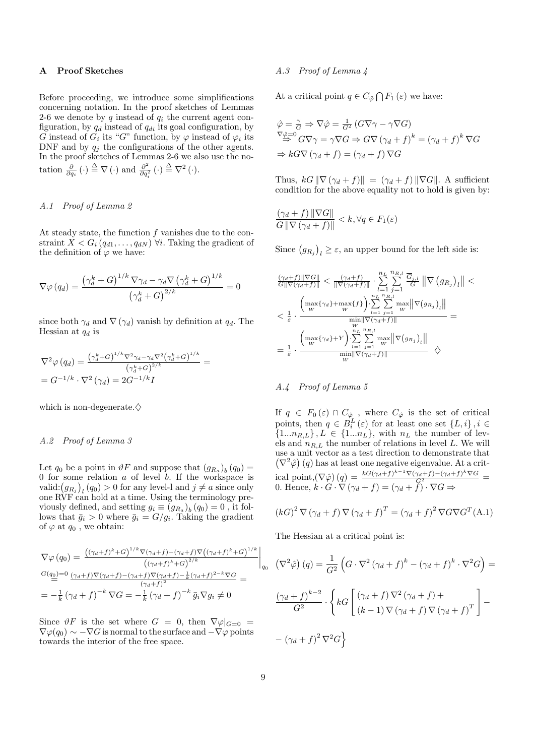# A Proof Sketches

Before proceeding, we introduce some simplifications concerning notation. In the proof sketches of Lemmas 2-6 we denote by q instead of  $q_i$  the current agent configuration, by  $q_d$  instead of  $q_{di}$  its goal configuration, by G instead of  $G_i$  its "G" function, by  $\varphi$  instead of  $\varphi_i$  its DNF and by  $q_j$  the configurations of the other agents. In the proof sketches of Lemmas 2-6 we also use the notation  $\frac{\partial}{\partial q_i}(\cdot) \stackrel{\Delta}{=} \nabla(\cdot)$  and  $\frac{\partial^2}{\partial q_i^2}$  $\frac{\partial^2}{\partial q_i^2}(\cdot) \stackrel{\Delta}{=} \nabla^2(\cdot).$ 

## A.1 Proof of Lemma 2

At steady state, the function  $f$  vanishes due to the constraint  $X < G_i (q_{d1}, \ldots, q_{dN})$   $\forall i$ . Taking the gradient of the definition of  $\varphi$  we have:

$$
\nabla \varphi (q_d) = \frac{\left(\gamma_d^k + G\right)^{1/k} \nabla \gamma_d - \gamma_d \nabla \left(\gamma_d^k + G\right)^{1/k}}{\left(\gamma_d^k + G\right)^{2/k}} = 0
$$

since both  $\gamma_d$  and  $\nabla$  ( $\gamma_d$ ) vanish by definition at  $q_d$ . The Hessian at  $q_d$  is

$$
\nabla^2 \varphi (q_d) = \frac{(\gamma_d^k + G)^{1/k} \nabla^2 \gamma_d - \gamma_d \nabla^2 (\gamma_d^k + G)^{1/k}}{(\gamma_d^k + G)^{2/k}} =
$$
  
= 
$$
G^{-1/k} \cdot \nabla^2 (\gamma_d) = 2G^{-1/k} I
$$

which is non-degenerate. $\diamondsuit$ 

# A.2 Proof of Lemma 3

Let  $q_0$  be a point in  $\vartheta F$  and suppose that  $(g_{R_a})_b(q_0) =$ 0 for some relation  $a$  of level  $b$ . If the workspace is U for some relation *a* of level *b*. If the workspace is valid: $(g_{R_j})_l(q_0) > 0$  for any level-l and  $j \neq a$  since only one RVF can hold at a time. Using the terminology previously defined, and setting  $g_i \equiv (g_{R_a})_b (q_0) = 0$ , it follows that  $\bar{g}_i > 0$  where  $\bar{g}_i = G/g_i$ . Taking the gradient of  $\varphi$  at  $q_0$ , we obtain:

$$
\nabla \varphi (q_0) = \frac{\left( (\gamma_d + f)^k + G \right)^{1/k} \nabla (\gamma_d + f) - (\gamma_d + f) \nabla \left( (\gamma_d + f)^k + G \right)^{1/k}}{\left( (\gamma_d + f)^k + G \right)^{2/k}} \Big|_{q_0} \nG(q_0) = 0 \frac{(\gamma_d + f) \nabla (\gamma_d + f) - (\gamma_d + f) \nabla (\gamma_d + f) - \frac{1}{k} (\gamma_d + f)^{2-k} \nabla G}{\left( \gamma_d + f \right)^2} = \n= -\frac{1}{k} \left( \gamma_d + f \right)^{-k} \nabla G = -\frac{1}{k} \left( \gamma_d + f \right)^{-k} \bar{g}_i \nabla g_i \neq 0
$$

Since  $\vartheta F$  is the set where  $G = 0$ , then  $\nabla \varphi|_{G=0} =$  $\nabla \varphi(q_0) \sim -\nabla G$  is normal to the surface and  $-\nabla \varphi$  points towards the interior of the free space.

#### A.3 Proof of Lemma 4

At a critical point  $q \in C_{\hat{\varphi}} \bigcap F_1(\varepsilon)$  we have:

$$
\hat{\varphi} = \frac{\gamma}{G} \Rightarrow \nabla \hat{\varphi} = \frac{1}{G^2} (G \nabla \gamma - \gamma \nabla G)
$$
  

$$
\nabla \hat{\varphi} = 0
$$
  

$$
G \nabla \gamma = \gamma \nabla G \Rightarrow G \nabla (\gamma_d + f)^k = (\gamma_d + f)^k \nabla G
$$
  

$$
\Rightarrow k G \nabla (\gamma_d + f) = (\gamma_d + f) \nabla G
$$

Thus,  $kG \|\nabla (\gamma_d + f)\| = (\gamma_d + f) \|\nabla G\|$ . A sufficient condition for the above equality not to hold is given by:

$$
\frac{(\gamma_d + f) \|\nabla G\|}{G \|\nabla (\gamma_d + f)\|} < k, \forall q \in F_1(\varepsilon)
$$

Since  $(g_{R_j})$ ¢  $\ell_l \geq \varepsilon$ , an upper bound for the left side is:

$$
\label{eq:11} \begin{aligned} &\frac{(\gamma_d+f)\|\nabla G\|}{G\|\nabla(\gamma_d+f)\|} < \frac{(\gamma_d+f)}{\|\nabla(\gamma_d+f)\|} \cdot \sum_{l=1}^{n_L}\sum_{j=1}^{n_R,l} \frac{\overline{G}_{j,l}}{G}\left\|\nabla \left(g_{R_j}\right)_l\right\| < \\ &< \frac{1}{\varepsilon} \cdot \frac{\left(\max\{\gamma_d\}+\max\{f\}\right)\cdot \sum\limits_{l=1}^{n_L}\sum\limits_{j=1}^{n_R,l} \max\limits_{W} \left\|\nabla \left(g_{R_j}\right)_l\right\|}{\min\|\nabla(\gamma_d+f)\|} = \\ &= \frac{1}{\varepsilon} \cdot \frac{\left(\max\{\gamma_d\}+Y\right)\cdot \sum\limits_{l=1}^{n_L}\sum\limits_{j=1}^{n_R,l} \max\limits_{W} \left\|\nabla \left(g_{R_j}\right)_l\right\|}{\min\|\nabla(\gamma_d+f)\|} \quad\Diamond \end{aligned}
$$

# A.4 Proof of Lemma 5

If  $q \in F_0(\varepsilon) \cap C_{\hat{\varphi}}$ , where  $C_{\hat{\varphi}}$  is the set of critical points, then  $q \in B_i^L(\varepsilon)$  for at least one set  $\{L, i\}, i \in$  $\{1...n_{R,L}\}, L \in \{1...n_L\}, \text{ with } n_L \text{ the number of lev$ els and  $n_{R,L}$  the number of relations in level L. We will use a unit vector as a test direction to demonstrate that  $\nabla^2 \hat{\varphi}$  (q) has at least one negative eigenvalue. At a critical point, $(\nabla \hat{\varphi}) (q) = \frac{kG(\gamma_d + f)^{k-1}\nabla(\gamma_d + f) - (\gamma_d + f)^k \nabla G}{G^2}$ 0. Hence,  $k \cdot G \cdot \nabla (\gamma_d + f) = (\gamma_d + \tilde{f}) \cdot \nabla G \Rightarrow$ 

$$
(kG)^{2} \nabla (\gamma_{d} + f) \nabla (\gamma_{d} + f)^{T} = (\gamma_{d} + f)^{2} \nabla G \nabla G^{T}(\mathbf{A}.\mathbf{1})
$$

The Hessian at a critical point is:

$$
(\nabla^2 \hat{\varphi}) (q) = \frac{1}{G^2} \left( G \cdot \nabla^2 (\gamma_d + f)^k - (\gamma_d + f)^k \cdot \nabla^2 G \right) =
$$

$$
\frac{(\gamma_d + f)^{k-2}}{G^2} \cdot \left\{ kG \left[ \frac{(\gamma_d + f) \nabla^2 (\gamma_d + f) +}{(k-1) \nabla (\gamma_d + f) \nabla (\gamma_d + f)^T} \right] -
$$

$$
-(\gamma_d + f)^2 \nabla^2 G \right\}
$$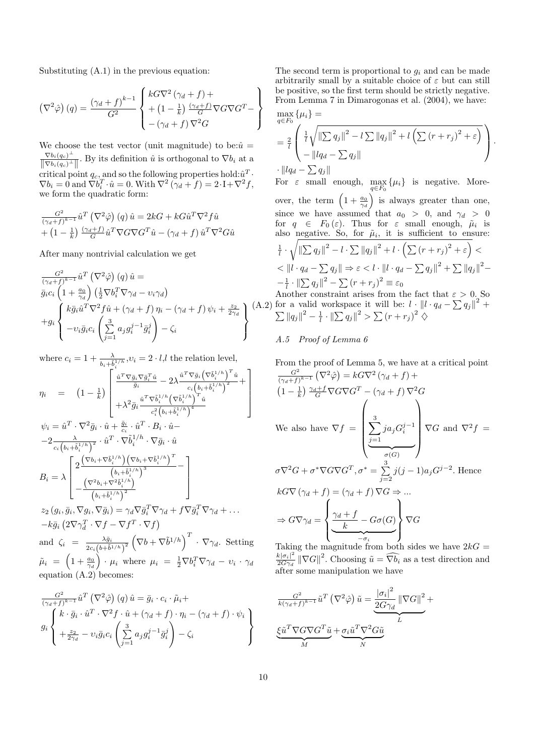Substituting (A.1) in the previous equation:

$$
\left(\nabla^2 \hat{\varphi}\right)(q) = \frac{(\gamma_d + f)^{k-1}}{G^2} \left\{ \begin{array}{l} kG \nabla^2 \left(\gamma_d + f\right) + \\ + \left(1 - \frac{1}{k}\right) \frac{\left(\gamma_d + f\right)}{G} \nabla G \nabla G^T - \\ - \left(\gamma_d + f\right) \nabla^2 G \end{array} \right\}
$$

We choose the test vector (unit magnitude) to be: $\hat{u} =$  $\nabla b_i(q_c)^{\perp}$  $\frac{\nabla b_i(q_c)}{\|\nabla b_i(q_c)^{\perp}\|}$ . By its definition  $\hat{u}$  is orthogonal to  $\nabla b_i$  at a critical point  $q_c$ , and so the following properties hold: $\hat{u}^T$ .  $\nabla b_i = 0$  and  $\nabla b_i^T \cdot \hat{u} = 0$ . With  $\nabla^2 (\gamma_d + f) = 2 \cdot I + \nabla^2 f$ , we form the quadratic form:

$$
\frac{G^2}{(\gamma_d + f)^{k-1}} \hat{u}^T (\nabla^2 \hat{\varphi}) (q) \hat{u} = 2kG + kG\hat{u}^T \nabla^2 f \hat{u} + (1 - \frac{1}{k}) \frac{(\gamma_d + f)}{G} \hat{u}^T \nabla G \nabla G^T \hat{u} - (\gamma_d + f) \hat{u}^T \nabla^2 G \hat{u}
$$

After many nontrivial calculation we get

$$
\frac{G^2}{(\gamma_d + f)^{k-1}} \hat{u}^T (\nabla^2 \hat{\varphi}) (q) \hat{u} =
$$
\n
$$
\bar{g}_i c_i \left( 1 + \frac{a_0}{\gamma_d} \right) \left( \frac{1}{2} \nabla b_i^T \nabla \gamma_d - v_i \gamma_d \right)
$$
\n
$$
+ g_i \begin{cases} k \bar{g}_i \hat{u}^T \nabla^2 f \hat{u} + (\gamma_d + f) \eta_i - (\gamma_d + f) \psi_i + \frac{z_2}{2\gamma_d} \\ -v_i \bar{g}_i c_i \left( \sum_{j=1}^3 a_j g_i^{j-1} \bar{g}_i^j \right) - \zeta_i \end{cases} (A.2)
$$

where  $c_i = 1 + \frac{\lambda}{b_i + \overline{b}_i^{1/h}}, v_i = 2 \cdot l, l$  the relation level,  $\begin{bmatrix} +b_i^{r/n-r} & b_i^{r/n} & b_i^{r/n} \\ c_i^{r/n} & c_i^{r/n} & c_i^{r/n} \end{bmatrix}$ 

$$
\eta_{i} = (1 - \frac{1}{k}) \begin{bmatrix} \frac{\hat{u}^{T} \nabla \bar{g}_{i} \nabla \bar{g}_{i}^{T} \hat{u}}{\bar{g}_{i}} - 2\lambda \frac{\hat{u}^{T} \nabla \bar{g}_{i} \left(\nabla \tilde{b}_{i}^{1/h}\right)^{T} \hat{u}}{c_{i} \left(b_{i} + \tilde{b}_{i}^{1/h}\right)^{2}} + \\ + \lambda^{2} \bar{g}_{i} \frac{\hat{u}^{T} \nabla \tilde{b}_{i}^{1/h} \left(\nabla \tilde{b}_{i}^{1/h}\right)^{T} \hat{u}}{c_{i}^{2} \left(b_{i} + \tilde{b}_{i}^{1/h}\right)^{4}} \\ \psi_{i} = \hat{u}^{T} \cdot \nabla^{2} \bar{g}_{i} \cdot \hat{u} + \frac{\bar{g}_{i}}{c_{i}} \cdot \hat{u}^{T} \cdot B_{i} \cdot \hat{u} - \\ -2 \frac{\lambda}{c_{i} \left(b_{i} + \tilde{b}_{i}^{1/h}\right)^{2}} \cdot \hat{u}^{T} \cdot \nabla \tilde{b}_{i}^{1/h} \cdot \nabla \bar{g}_{i} \cdot \hat{u} \\ \eta_{i} = \lambda \begin{bmatrix} 2 \frac{\left(\nabla b_{i} + \nabla \tilde{b}_{i}^{1/h}\right) \left(\nabla b_{i} + \nabla \tilde{b}_{i}^{1/h}\right)^{T} - \\ \left(b_{i} + \tilde{b}_{i}^{1/h}\right)^{3} - \\ -\frac{\left(\nabla^{2} b_{i} + \nabla^{2} \tilde{b}_{i}^{1/h}\right)^{3}}{\left(b_{i} + \tilde{b}_{i}^{1/h}\right)^{2}} \end{bmatrix} \\ z_{2} \left(g_{i}, \bar{g}_{i}, \nabla g_{i}, \nabla \bar{g}_{i}\right) = \gamma_{d} \nabla \bar{g}_{i}^{T} \nabla \gamma_{d} + f \nabla \bar{g}_{i}^{T} \nabla \gamma_{d} + \dots
$$

 $-k\bar{g}_i$  $2\nabla \gamma_d^T \cdot \nabla f - \nabla f^T \cdot \nabla f$ and  $\zeta_i = \frac{\lambda \bar{g}_i}{g_i \sqrt{1+\tilde{l}i}}$  $2c_i(b+\tilde{b}^{1/h})^2$  $\overline{a}$  $\nabla b + \nabla \tilde{b}^{1/h} \bigg)^T \cdot \nabla \gamma_d$ . Setting  $\tilde{\mu}_i$  =  $\overline{a}$  $1+\frac{a_0}{\gamma_d}$  $\zeta'$  $\cdot \mu_i$  where  $\mu_i = \frac{1}{2} \nabla b_i^T \nabla \gamma_d - v_i \cdot \gamma_d$ equation (A.2) becomes:

$$
\frac{G^2}{(\gamma_d + f)^{k-1}} \hat{u}^T (\nabla^2 \hat{\varphi}) (q) \hat{u} = \bar{g}_i \cdot c_i \cdot \tilde{\mu}_i +
$$
\n
$$
g_i \begin{cases}\nk \cdot \bar{g}_i \cdot \hat{u}^T \cdot \nabla^2 f \cdot \hat{u} + (\gamma_d + f) \cdot \eta_i - (\gamma_d + f) \cdot \psi_i \\
+\frac{z_2}{2\gamma_d} - \nu_i \bar{g}_i c_i \left(\sum_{j=1}^3 a_j g_i^{j-1} \bar{g}_i^j\right) - \zeta_i\n\end{cases}
$$

The second term is proportional to  $g_i$  and can be made arbitrarily small by a suitable choice of  $\varepsilon$  but can still be positive, so the first term should be strictly negative. From Lemma 7 in Dimarogonas et al. (2004), we have:  $\max_{q \in F_0} {\{\mu_i\}} =$ 

$$
q \in F_0
$$
  
=  $\frac{2}{l} \left( \frac{\frac{1}{l} \sqrt{\left\| \sum q_j \right\|^2 - l \sum ||q_j||^2 + l \left( \sum (r + r_j)^2 + \varepsilon \right)}}{-\left\| lq_d - \sum q_j \right\|} \right).$   
=  $\left\| lq_d - \sum q_j \right\|$ 

For  $\varepsilon$  small enough,  $\max_{q \in F_0} {\{\mu_i\}}$  is negative. Moreover, the term  $\left(1 + \frac{a_0}{\gamma_d}\right)$  is always greater than one,  $\frac{q}{\sqrt{q}}$ since we have assumed that  $a_0 > 0$ , and  $\gamma_d > 0$ for  $q \in F_0(\varepsilon)$ . Thus for  $\varepsilon$  small enough,  $\tilde{\mu}_i$  is also negative. So, for  $\tilde{\mu}_i$ , it is sufficient to ensure:  $\frac{1}{l} \cdot \sqrt{\|\sum q_j\|^2 - l \cdot \sum \|q_j\|^2 + l \cdot \left(\sum (r + r_j)^2 + \varepsilon\right)}$  $\overline{\ }$  $\lt$  $<$   $||l \cdot q_d - \sum q_j|| \Rightarrow \varepsilon < l \cdot ||l \cdot q_d - \sum q_j||^2 + \sum ||q_j||^2 -\frac{1}{l} \cdot \left\| \sum q_j \right\|^2 - \sum (r + r_j)^2 \equiv \varepsilon_0$ 

Another constraint arises from the fact that  $\varepsilon > 0$ . So Another constraint arises from the fact that  $\varepsilon > 0$ . So<br>for a valid workspace it will be:  $l \cdot ||l \cdot q_d - \sum q_j||^2 +$  $\sum ||q_j||^2 - \frac{1}{l} \cdot ||\sum q_j||^2 > \sum (r + r_j)^2 \diamondsuit$ 

# A.5 Proof of Lemma 6

From the proof of Lemma 5, we have at a critical point  $G<sup>2</sup>$  $(\nabla^2 \hat{\varphi}) = kG \nabla^2 (\gamma_d + f) +$ 

$$
\overline{(\gamma_d + f)^{k-1}} \quad (\text{V} \quad \varphi) = \kappa \mathbf{G} \quad (\gamma_d + f) + \Gamma
$$
\n
$$
(1 - \frac{1}{k}) \frac{\gamma_d + f}{G} \nabla G \nabla G^T - (\gamma_d + f) \nabla^2 G
$$
\nWe also have  $\nabla f = \begin{pmatrix} 3 \\ 2j a_j G_i^{j-1} \\ \frac{j-1}{\sigma(G)} \end{pmatrix} \nabla G$  and  $\nabla^2 f = \frac{\gamma_d}{\sigma(G)}$ \n
$$
\sigma \nabla^2 G + \sigma^* \nabla G \nabla G^T, \sigma^* = \sum_{j=2}^3 j(j-1) a_j G^{j-2}.
$$
\nHence\n
$$
k G \nabla (\gamma_d + f) = (\gamma_d + f) \nabla G \Rightarrow ...
$$
\n
$$
\Rightarrow G \nabla \gamma_d = \begin{cases} \frac{\gamma_d + f}{k} - G \sigma(G) \\ \frac{\gamma_d}{\sigma_G} \end{cases} \nabla G
$$
\nTaking the magnitude from both sides we have  $2kG =$ 

Taking the magnitude from both sides we have  $2kG =$  $k|\sigma_i|^2$  $\frac{k|\sigma_i|^2}{2G\gamma_d} \|\nabla G\|^2$ . Choosing  $\tilde{u} = \widehat{\nabla b_i}$  as a test direction and after some manipulation we have

$$
\frac{G^2}{k(\gamma_d + f)^{k-1}} \tilde{u}^T (\nabla^2 \hat{\varphi}) \tilde{u} = \underbrace{\frac{|\sigma_i|^2}{2G\gamma_d} \|\nabla G\|^2}_{L} + \underbrace{\xi \tilde{u}^T \nabla G \nabla G^T \tilde{u}}_{M} + \underbrace{\sigma_i \tilde{u}^T \nabla^2 G \tilde{u}}_{N}
$$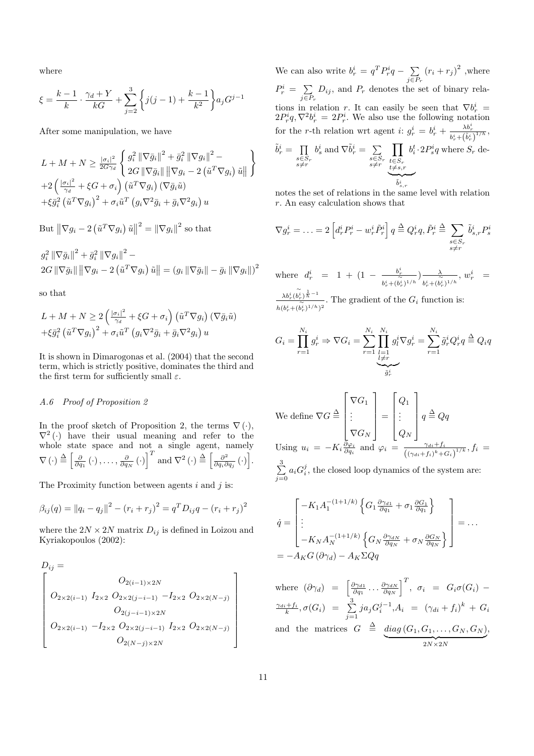where

$$
\xi = \frac{k-1}{k} \cdot \frac{\gamma_d + Y}{kG} + \sum_{j=2}^{3} \left\{ j(j-1) + \frac{k-1}{k^2} \right\} a_j G^{j-1}
$$

After some manipulation, we have

$$
L + M + N \geq \frac{|\sigma_i|^2}{2G\gamma_d} \left\{ \frac{g_i^2 \left\| \nabla \bar{g}_i \right\|^2 + \bar{g}_i^2 \left\| \nabla g_i \right\|^2 - 2\left( \tilde{u}^T \nabla g_i \right) \tilde{u} \right\}
$$
  
+2\left( \frac{|\sigma\_i|^2}{\gamma\_d} + \xi G + \sigma\_i \right) \left( \tilde{u}^T \nabla g\_i \right) \left( \nabla \bar{g}\_i \tilde{u} \right)   
+ \xi \bar{g}\_i^2 \left( \tilde{u}^T \nabla g\_i \right)^2 + \sigma\_i \tilde{u}^T \left( g\_i \nabla^2 \bar{g}\_i + \bar{g}\_i \nabla^2 g\_i \right) u

But 
$$
\left\|\nabla g_i - 2 \left(\tilde{u}^T \nabla g_i\right) \tilde{u}\right\|^2 = \left\|\nabla g_i\right\|^2
$$
 so that

$$
g_i^2 \|\nabla \bar{g}_i\|^2 + \bar{g}_i^2 \|\nabla g_i\|^2 - 2G \|\nabla \bar{g}_i\| \|\nabla g_i - 2(\tilde{u}^T \nabla g_i) \tilde{u}\| = (g_i \|\nabla \bar{g}_i\| - \bar{g}_i \|\nabla g_i\|)^2
$$

so that

$$
L + M + N \ge 2\left(\frac{|\sigma_i|^2}{\gamma_d} + \xi G + \sigma_i\right) \left(\tilde{u}^T \nabla g_i\right) \left(\nabla \bar{g}_i \tilde{u}\right)
$$

$$
+ \xi \bar{g}_i^2 \left(\tilde{u}^T \nabla g_i\right)^2 + \sigma_i \tilde{u}^T \left(g_i \nabla^2 \bar{g}_i + \bar{g}_i \nabla^2 g_i\right) u
$$

It is shown in Dimarogonas et al. (2004) that the second term, which is strictly positive, dominates the third and the first term for sufficiently small  $\varepsilon$ .

# A.6 Proof of Proposition 2

In the proof sketch of Proposition 2, the terms  $\nabla(\cdot)$ ,  $\nabla^2$  (·) have their usual meaning and refer to the whole state space and not a single agent, namely whole state space and in<br>  $\nabla (\cdot) \stackrel{\Delta}{=} \left[ \frac{\partial}{\partial q_1} (\cdot), \ldots, \frac{\partial}{\partial q_N} (\cdot) \right]$  $\frac{1}{T}$ and  $\nabla^2(\cdot) \stackrel{\Delta}{=} \left[\frac{\partial^2}{\partial \alpha \partial \theta}\right]$  $\frac{\partial^2}{\partial q_i \partial q_j} (\cdot)$ i)<br>T .

The Proximity function between agents  $i$  and  $j$  is:

$$
\beta_{ij}(q) = ||q_i - q_j||^2 - (r_i + r_j)^2 = q^T D_{ij} q - (r_i + r_j)^2
$$

where the  $2N\times 2N$  matrix  $D_{ij}$  is defined in Loizou and Kyriakopoulos (2002):

$$
D_{ij} = \n\begin{bmatrix}\nO_{2(i-1)\times 2N} \\
O_{2\times 2(i-1)} & I_{2\times 2} & O_{2\times 2(j-i-1)} & -I_{2\times 2} & O_{2\times 2(N-j)} \\
O_{2(j-i-1)\times 2N} & O_{2(j-i-1)\times 2N} & O_{2\times 2(i-j-1)} & I_{2\times 2} & O_{2\times 2(N-j)} \\
O_{2(N-j)\times 2N} & O_{2(N-j)\times 2N}\n\end{bmatrix}
$$

We can also write  $b_r^i = q^T P_r^i q - \sum$  $j \in P_r$  $(r_i + r_j)^2$ , where  $P_r^i = \sum_{j \in P_r}$  $\overline{ }$  $D_{ij}$ , and  $P_r$  denotes the set of binary relations in relation r. It can easily be seen that  $\nabla b_r^i$  =  $2P_r^iq, \nabla^2 b_r^i = 2P_r^i$ . We also use the following notation for the r-th relation wrt agent i:  $g_r^i = b_r^i + \frac{\lambda b_r^i}{b_r^i + (\tilde{b}_r^i)^{1/h}},$  $\tilde{b}_r^i = \prod$  $s \in S_r$ <br> $s \neq r$  $b_s^i$  and  $\nabla \tilde{b}_r^i = \sum$  $s \in S_r$ <br> $s \neq r$  $\overline{y}$  $t \in S_r$ <br> $t \neq s,r$  $b_i^t$  $\stackrel{\smash{v\!-\!\!\!\!v\!-\!\!\!\!v\!-\!\!\!\!v\!-\!\!\!\!v\!-\!\!\!\!v\!-\!\!\!\!v\!-\!\!\!\!v\!-\!\!\!\!v\!-\!\!\!\!v\!-\!\!\!\!v\!-\!\!\!\!v\!-\!\!\!\!v\!-\!\!\!\!v\!-\!\!\!\!v\!-\!\!\!\!v\!-\!\!\!\!v\!-\!\!\!\!v\!-\!\!\!\!v\!-\!\!\!\!v\!-\!\!\!\!v\!-\!\!\!\!v\!-\!\!\!\!v\!-\!\!\!\!v\!-\!\!\!\!v\!-\!\!\!\!v\!-\!\!\!v\!-\!\!\$  $\tilde{b}$ i s,r  $\cdot 2P_s^iq$  where  $S_r$  de-

notes the set of relations in the same level with relation r. An easy calculation shows that

$$
\nabla g_r^i = \ldots = 2 \left[ d_r^i P_r^i - w_r^i \tilde{P}_r^i \right] q \stackrel{\Delta}{=} Q_r^i q, \tilde{P}_r^i \stackrel{\Delta}{=} \sum_{\substack{s \in S_r \\ s \neq r}} \tilde{b}_{s,r}^i P_s^i
$$

where  $d_r^i = 1 + (1 - \frac{b_r^i}{\sqrt{n}})$  $\frac{b_r^\imath}{b_r^\imath+(b_r^\imath)^{1/h}}\Big) \frac{\lambda}{b_r^\imath+(b_r^\imath)}$  $\frac{\lambda}{b_r^i + (b_r^i)^{1/h}}, w_r^i =$ 

 $\lambda b_r^i (b_r^i)^{\frac{1}{h}-1}$  $\frac{\lambda b_r^-(b_r^+)^n}{h(b_r^i + (b_r^i)^{1/h})^2}$ . The gradient of the  $G_i$  function is:

$$
G_i = \prod_{r=1}^{N_i} g_r^i \Rightarrow \nabla G_i = \sum_{r=1}^{N_i} \prod_{\substack{l=1 \ l \neq r}}^{N_i} g_l^i \nabla g_r^i = \sum_{r=1}^{N_i} \tilde{g}_r^i Q_r^i q \stackrel{\Delta}{=} Q_i q
$$

We define 
$$
\nabla G \triangleq \begin{bmatrix} \nabla G_1 \\ \n\vdots \\ \nabla G_N \end{bmatrix} = \begin{bmatrix} Q_1 \\ \n\vdots \\ Q_N \end{bmatrix} q \triangleq Qq
$$
  
\nUsing  $u_i = -K_i \frac{\partial \varphi_i}{\partial q_i}$  and  $\varphi_i = \frac{\gamma_{di} + f_i}{\left( (\gamma_{di} + f_i)^k + G_i \right)^{1/k}}, f_i = \sum_{j=0}^3 a_i G_i^j$ , the closed loop dynamics of the system are:

$$
\dot{q} = \begin{bmatrix} -K_1 A_1^{-(1+1/k)} \left\{ G_1 \frac{\partial \gamma_{d1}}{\partial q_1} + \sigma_1 \frac{\partial G_1}{\partial q_1} \right\} \\ \vdots \\ -K_N A_N^{-(1+1/k)} \left\{ G_N \frac{\partial \gamma_{dN}}{\partial q_N} + \sigma_N \frac{\partial G_N}{\partial q_N} \right\} \end{bmatrix} = \dots
$$
\n
$$
= -A_K G \left( \partial \gamma_d \right) - A_K \Sigma Q q
$$

where  $(\partial \gamma_d)$  =  $\begin{bmatrix} \frac{\partial \gamma_{d1}}{\partial q_1} \dots \frac{\partial \gamma_{dN}}{\partial q_N} \end{bmatrix}$  $\overline{I}$  $, \sigma_i = G_i \sigma(G_i) \frac{\gamma_{di}+f_{i}}{k}, \sigma(G_{i}) = \sum_{i=1}^{3}$  $\sum_{j=1}^{8} ja_j G_i^{j-1}, A_i = (\gamma_{di} + f_i)^k + G_i$ and the matrices  $G \triangleq diag(G_1, G_1, \ldots, G_N, G_N)$  $2N\times2N$ ,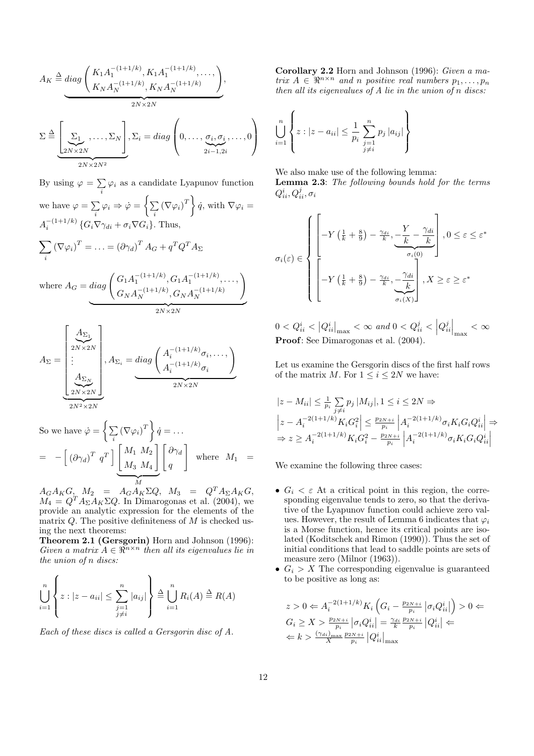$$
A_K \stackrel{\Delta}{=} \underset{K_N A_N^{-(1+1/k)}, K_1 A_1^{-(1+1/k)}, \dots,}{\underbrace{K_N A_N^{-(1+1/k)}, K_N A_N^{-(1+1/k)}}},
$$
\n
$$
\Sigma \stackrel{\Delta}{=} \underbrace{\left[\sum_{2N \times 2N}, \dots, \sum_N\right]}_{2N \times 2N}, \Sigma_i = \underset{2i-1, 2i}{\text{diag}} \left(0, \dots, \underbrace{\sigma_i, \sigma_i}_{2i-1, 2i}, \dots, 0\right)
$$

By using  $\varphi = \sum$  $\sum_i \varphi_i$  as a candidate Lyapunov function we have  $\varphi = \sum$  $\sum\limits_i \varphi_i \Rightarrow \dot{\varphi} =$  $\left( \frac{1}{p}\right)$  $\sum_i \left(\nabla \varphi_i\right)^T$  $\mathbf{v}$  $\dot{q}$ , with  $\nabla \varphi_i =$  $A_i^{-(1+1/k)}\left\{G_i\nabla\gamma_{di} + \sigma_i\nabla G_i\right\}$ . Thus,  $\overline{\phantom{a}}$ i  $(\nabla \varphi_i)^T = \ldots = (\partial \gamma_d)^T A_G + q^T Q^T A_\Sigma$ !<br>.

where  $A_G = diag \left( G_1 A_1^{-(1+1/k)}, G_1 A_1^{-(1+1/k)}, \dots, G_1 A_K^{-(1+1/k)} \right)$  $G_N A_N^{-(1+1/k)}, G_N A_N^{-(1+1/k)}$ N  $\overbrace{\hspace{2.5cm}}^{X}$  $2N\times 2N$ 

$$
A_{\Sigma} = \underbrace{\begin{bmatrix} A_{\Sigma_1} \\ 2N \times 2N \\ \vdots \\ 2N \times 2N \end{bmatrix}}_{2N \times 2N}, A_{\Sigma_i} = diag \underbrace{\begin{pmatrix} A_i^{-(1+1/k)} \sigma_i, \dots, \\ A_i^{-(1+1/k)} \sigma_i \end{pmatrix}}_{2N \times 2N}
$$

So we have 
$$
\dot{\varphi} = \left\{ \sum_i (\nabla \varphi_i)^T \right\} \dot{q} = \dots
$$
  
\n
$$
= - \left[ (\partial \gamma_d)^T q^T \right] \underbrace{\begin{bmatrix} M_1 & M_2 \\ M_3 & M_4 \end{bmatrix}}_{M} \begin{bmatrix} \partial \gamma_d \\ q \end{bmatrix} \text{ where } M_1 =
$$

 $A_G A_K G, \quad M_2 \quad = \quad A_G A_K \Sigma Q, \quad M_3 \quad = \quad Q^T A_\Sigma A_K G,$  $M_4 = Q^T A_\Sigma A_K \Sigma Q$ . In Dimarogonas et al. (2004), we provide an analytic expression for the elements of the matrix  $Q$ . The positive definiteness of  $M$  is checked using the next theorems:

Theorem 2.1 (Gersgorin) Horn and Johnson (1996): Given a matrix  $A \in \mathbb{R}^{n \times n}$  then all its eigenvalues lie in the union of n discs:

$$
\bigcup_{i=1}^{n} \left\{ z : |z - a_{ii}| \leq \sum_{\substack{j=1 \ j \neq i}}^{n} |a_{ij}| \right\} \stackrel{\Delta}{=} \bigcup_{i=1}^{n} R_i(A) \stackrel{\Delta}{=} R(A)
$$

Each of these discs is called a Gersgorin disc of A.

Corollary 2.2 Horn and Johnson (1996): Given a matrix  $A \in \mathbb{R}^{n \times n}$  and n positive real numbers  $p_1, \ldots, p_n$ then all its eigenvalues of A lie in the union of n discs:

$$
\bigcup_{i=1}^{n} \left\{ z : |z - a_{ii}| \leq \frac{1}{p_i} \sum_{\substack{j=1 \ j \neq i}}^{n} p_j |a_{ij}| \right\}
$$

We also make use of the following lemma:

Lemma 2.3: The following bounds hold for the terms  $Q_{ii}^i, Q_{ii}^j, \sigma_i$ 

$$
\sigma_{i}(\varepsilon) \in \left\{\begin{aligned} &\left[-Y\left(\frac{1}{k} + \frac{8}{9}\right) - \frac{\gamma_{di}}{k}, \underbrace{-\frac{Y}{k} - \frac{\gamma_{di}}{k}}_{\sigma_{i}(0)}\right], 0 \leq \varepsilon \leq \varepsilon^{*} \\ &\left[-Y\left(\frac{1}{k} + \frac{8}{9}\right) - \frac{\gamma_{di}}{k}, \underbrace{-\frac{\gamma_{di}}{k}}_{\sigma_{i}(X)}\right], X \geq \varepsilon \geq \varepsilon^{*} \end{aligned}\right.
$$

 $0 < Q_{ii}^i <$  $|Q_{ii}^i$  $\big|_{\text{max}} < \infty$  and  $0 < Q_{ii}^j <$  $\left|Q_{ii}^j\right|$  $\Big|_{\max} < \infty$ Proof: See Dimarogonas et al. (2004).

Let us examine the Gersgorin discs of the first half rows of the matrix M. For  $1 \leq i \leq 2N$  we have:

$$
|z - M_{ii}| \leq \frac{1}{p_i} \sum_{j \neq i} p_j |M_{ij}|, 1 \leq i \leq 2N \Rightarrow
$$
  
\n
$$
\left| z - A_i^{-2(1+1/k)} K_i G_i^2 \right| \leq \frac{p_{2N+i}}{p_i} \left| A_i^{-2(1+1/k)} \sigma_i K_i G_i Q_{ii}^i \right| \Rightarrow
$$
  
\n
$$
\Rightarrow z \geq A_i^{-2(1+1/k)} K_i G_i^2 - \frac{p_{2N+i}}{p_i} \left| A_i^{-2(1+1/k)} \sigma_i K_i G_i Q_{ii}^i \right|
$$

We examine the following three cases:

- $G_i < \varepsilon$  At a critical point in this region, the corresponding eigenvalue tends to zero, so that the derivative of the Lyapunov function could achieve zero values. However, the result of Lemma 6 indicates that  $\varphi_i$ is a Morse function, hence its critical points are isolated (Koditschek and Rimon (1990)). Thus the set of initial conditions that lead to saddle points are sets of measure zero (Milnor (1963)).
- $G_i > X$  The corresponding eigenvalue is guaranteed to be positive as long as:

$$
z > 0 \Leftarrow A_i^{-2(1+1/k)} K_i \left( G_i - \frac{p_{2N+i}}{p_i} \left| \sigma_i Q_{ii}^i \right| \right) > 0 \Leftarrow
$$
  
\n
$$
G_i \ge X > \frac{p_{2N+i}}{p_i} \left| \sigma_i Q_{ii}^i \right| = \frac{\gamma_{di}}{k} \frac{p_{2N+i}}{p_i} \left| Q_{ii}^i \right| \Leftarrow
$$
  
\n
$$
\Leftarrow k > \frac{(\gamma_{di})_{\text{max}}}{X} \frac{p_{2N+i}}{p_i} \left| Q_{ii}^i \right|_{\text{max}}
$$